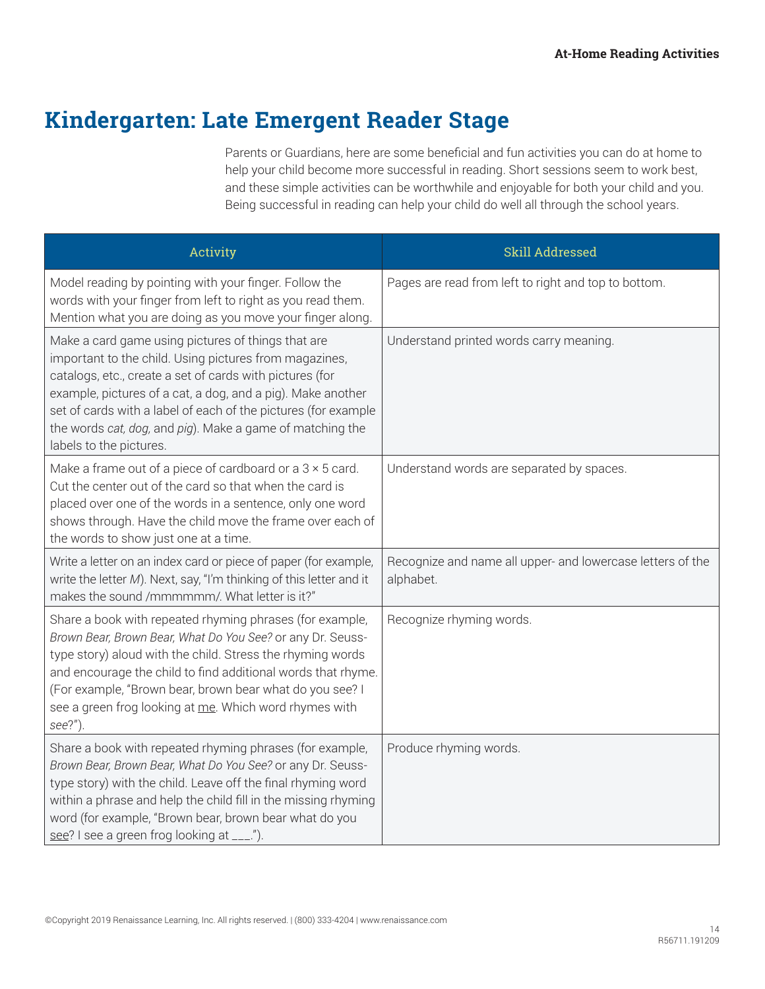## **Kindergarten: Late Emergent Reader Stage**

Parents or Guardians, here are some beneficial and fun activities you can do at home to help your child become more successful in reading. Short sessions seem to work best, and these simple activities can be worthwhile and enjoyable for both your child and you. Being successful in reading can help your child do well all through the school years.

| Activity                                                                                                                                                                                                                                                                                                                                                                                          | Skill Addressed                                                         |
|---------------------------------------------------------------------------------------------------------------------------------------------------------------------------------------------------------------------------------------------------------------------------------------------------------------------------------------------------------------------------------------------------|-------------------------------------------------------------------------|
| Model reading by pointing with your finger. Follow the<br>words with your finger from left to right as you read them.<br>Mention what you are doing as you move your finger along.                                                                                                                                                                                                                | Pages are read from left to right and top to bottom.                    |
| Make a card game using pictures of things that are<br>important to the child. Using pictures from magazines,<br>catalogs, etc., create a set of cards with pictures (for<br>example, pictures of a cat, a dog, and a pig). Make another<br>set of cards with a label of each of the pictures (for example<br>the words cat, dog, and pig). Make a game of matching the<br>labels to the pictures. | Understand printed words carry meaning.                                 |
| Make a frame out of a piece of cardboard or a $3 \times 5$ card.<br>Cut the center out of the card so that when the card is<br>placed over one of the words in a sentence, only one word<br>shows through. Have the child move the frame over each of<br>the words to show just one at a time.                                                                                                    | Understand words are separated by spaces.                               |
| Write a letter on an index card or piece of paper (for example,<br>write the letter M). Next, say, "I'm thinking of this letter and it<br>makes the sound /mmmmmm/. What letter is it?"                                                                                                                                                                                                           | Recognize and name all upper- and lowercase letters of the<br>alphabet. |
| Share a book with repeated rhyming phrases (for example,<br>Brown Bear, Brown Bear, What Do You See? or any Dr. Seuss-<br>type story) aloud with the child. Stress the rhyming words<br>and encourage the child to find additional words that rhyme.<br>(For example, "Brown bear, brown bear what do you see? I<br>see a green frog looking at me. Which word rhymes with<br>see?")              | Recognize rhyming words.                                                |
| Share a book with repeated rhyming phrases (for example,<br>Brown Bear, Brown Bear, What Do You See? or any Dr. Seuss-<br>type story) with the child. Leave off the final rhyming word<br>within a phrase and help the child fill in the missing rhyming<br>word (for example, "Brown bear, brown bear what do you<br>see? I see a green frog looking at ___.").                                  | Produce rhyming words.                                                  |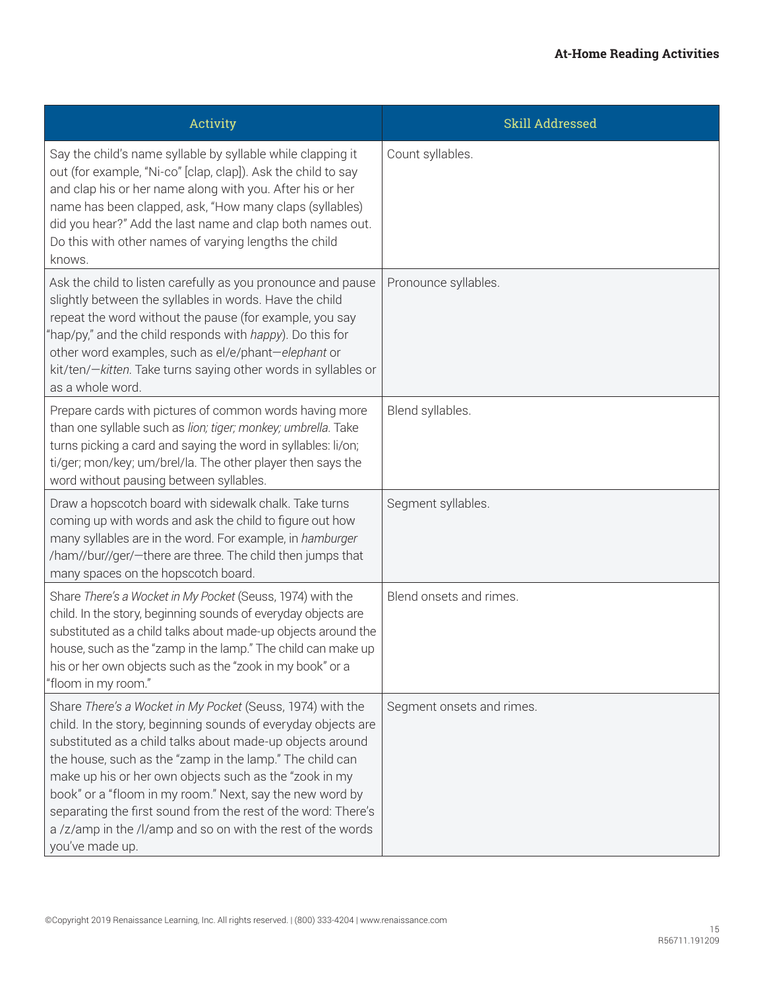| Activity                                                                                                                                                                                                                                                                                                                                                                                                                                                                                                                      | Skill Addressed           |
|-------------------------------------------------------------------------------------------------------------------------------------------------------------------------------------------------------------------------------------------------------------------------------------------------------------------------------------------------------------------------------------------------------------------------------------------------------------------------------------------------------------------------------|---------------------------|
| Say the child's name syllable by syllable while clapping it<br>out (for example, "Ni-co" [clap, clap]). Ask the child to say<br>and clap his or her name along with you. After his or her<br>name has been clapped, ask, "How many claps (syllables)<br>did you hear?" Add the last name and clap both names out.<br>Do this with other names of varying lengths the child<br>knows.                                                                                                                                          | Count syllables.          |
| Ask the child to listen carefully as you pronounce and pause<br>slightly between the syllables in words. Have the child<br>repeat the word without the pause (for example, you say<br>"hap/py," and the child responds with happy). Do this for<br>other word examples, such as el/e/phant-elephant or<br>kit/ten/-kitten. Take turns saying other words in syllables or<br>as a whole word.                                                                                                                                  | Pronounce syllables.      |
| Prepare cards with pictures of common words having more<br>than one syllable such as lion; tiger; monkey; umbrella. Take<br>turns picking a card and saying the word in syllables: li/on;<br>ti/ger; mon/key; um/brel/la. The other player then says the<br>word without pausing between syllables.                                                                                                                                                                                                                           | Blend syllables.          |
| Draw a hopscotch board with sidewalk chalk. Take turns<br>coming up with words and ask the child to figure out how<br>many syllables are in the word. For example, in hamburger<br>/ham//bur//ger/-there are three. The child then jumps that<br>many spaces on the hopscotch board.                                                                                                                                                                                                                                          | Segment syllables.        |
| Share There's a Wocket in My Pocket (Seuss, 1974) with the<br>child. In the story, beginning sounds of everyday objects are<br>substituted as a child talks about made-up objects around the<br>house, such as the "zamp in the lamp." The child can make up<br>his or her own objects such as the "zook in my book" or a<br>"floom in my room."                                                                                                                                                                              | Blend onsets and rimes.   |
| Share There's a Wocket in My Pocket (Seuss, 1974) with the<br>child. In the story, beginning sounds of everyday objects are<br>substituted as a child talks about made-up objects around<br>the house, such as the "zamp in the lamp." The child can<br>make up his or her own objects such as the "zook in my<br>book" or a "floom in my room." Next, say the new word by<br>separating the first sound from the rest of the word: There's<br>a /z/amp in the /l/amp and so on with the rest of the words<br>you've made up. | Segment onsets and rimes. |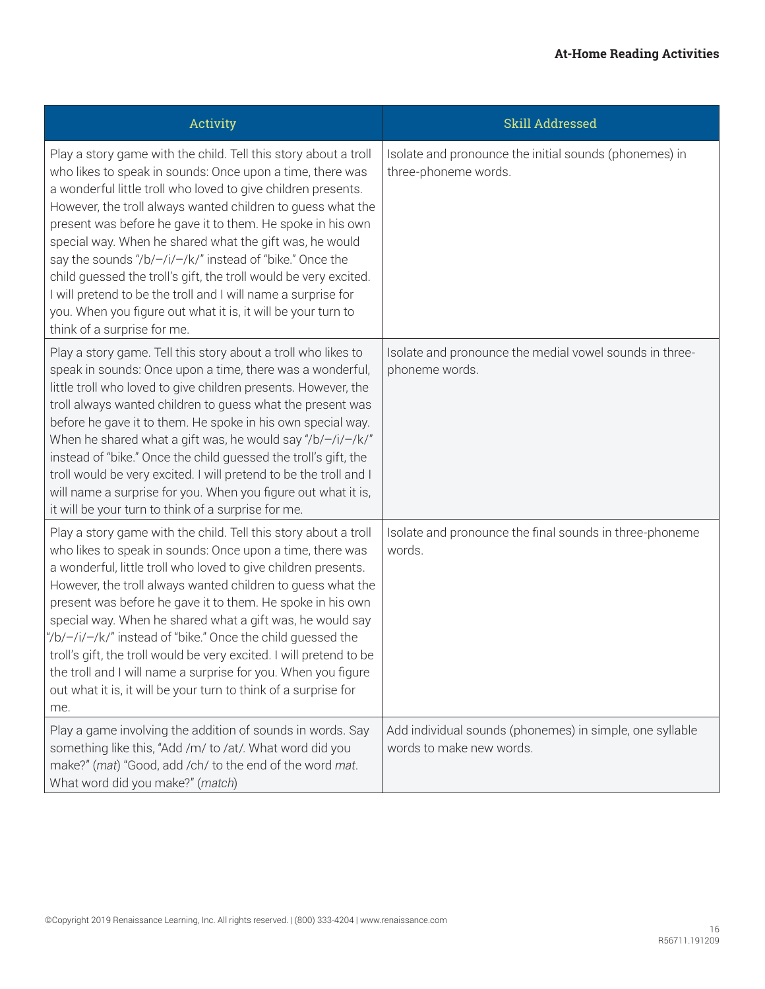| Activity                                                                                                                                                                                                                                                                                                                                                                                                                                                                                                                                                                                                                                                                              | Skill Addressed                                                                      |
|---------------------------------------------------------------------------------------------------------------------------------------------------------------------------------------------------------------------------------------------------------------------------------------------------------------------------------------------------------------------------------------------------------------------------------------------------------------------------------------------------------------------------------------------------------------------------------------------------------------------------------------------------------------------------------------|--------------------------------------------------------------------------------------|
| Play a story game with the child. Tell this story about a troll<br>who likes to speak in sounds: Once upon a time, there was<br>a wonderful little troll who loved to give children presents.<br>However, the troll always wanted children to guess what the<br>present was before he gave it to them. He spoke in his own<br>special way. When he shared what the gift was, he would<br>say the sounds "/b/-/i/-/k/" instead of "bike." Once the<br>child guessed the troll's gift, the troll would be very excited.<br>I will pretend to be the troll and I will name a surprise for<br>you. When you figure out what it is, it will be your turn to<br>think of a surprise for me. | Isolate and pronounce the initial sounds (phonemes) in<br>three-phoneme words.       |
| Play a story game. Tell this story about a troll who likes to<br>speak in sounds: Once upon a time, there was a wonderful,<br>little troll who loved to give children presents. However, the<br>troll always wanted children to guess what the present was<br>before he gave it to them. He spoke in his own special way.<br>When he shared what a gift was, he would say "/b/ $-$ /i/ $-$ /k/"<br>instead of "bike." Once the child guessed the troll's gift, the<br>troll would be very excited. I will pretend to be the troll and I<br>will name a surprise for you. When you figure out what it is,<br>it will be your turn to think of a surprise for me.                       | Isolate and pronounce the medial vowel sounds in three-<br>phoneme words.            |
| Play a story game with the child. Tell this story about a troll<br>who likes to speak in sounds: Once upon a time, there was<br>a wonderful, little troll who loved to give children presents.<br>However, the troll always wanted children to guess what the<br>present was before he gave it to them. He spoke in his own<br>special way. When he shared what a gift was, he would say<br>"/b/-/i/-/k/" instead of "bike." Once the child guessed the<br>troll's gift, the troll would be very excited. I will pretend to be<br>the troll and I will name a surprise for you. When you figure<br>out what it is, it will be your turn to think of a surprise for<br>me.             | Isolate and pronounce the final sounds in three-phoneme<br>words.                    |
| Play a game involving the addition of sounds in words. Say<br>something like this, "Add /m/ to /at/. What word did you<br>make?" (mat) "Good, add /ch/ to the end of the word mat.<br>What word did you make?" (match)                                                                                                                                                                                                                                                                                                                                                                                                                                                                | Add individual sounds (phonemes) in simple, one syllable<br>words to make new words. |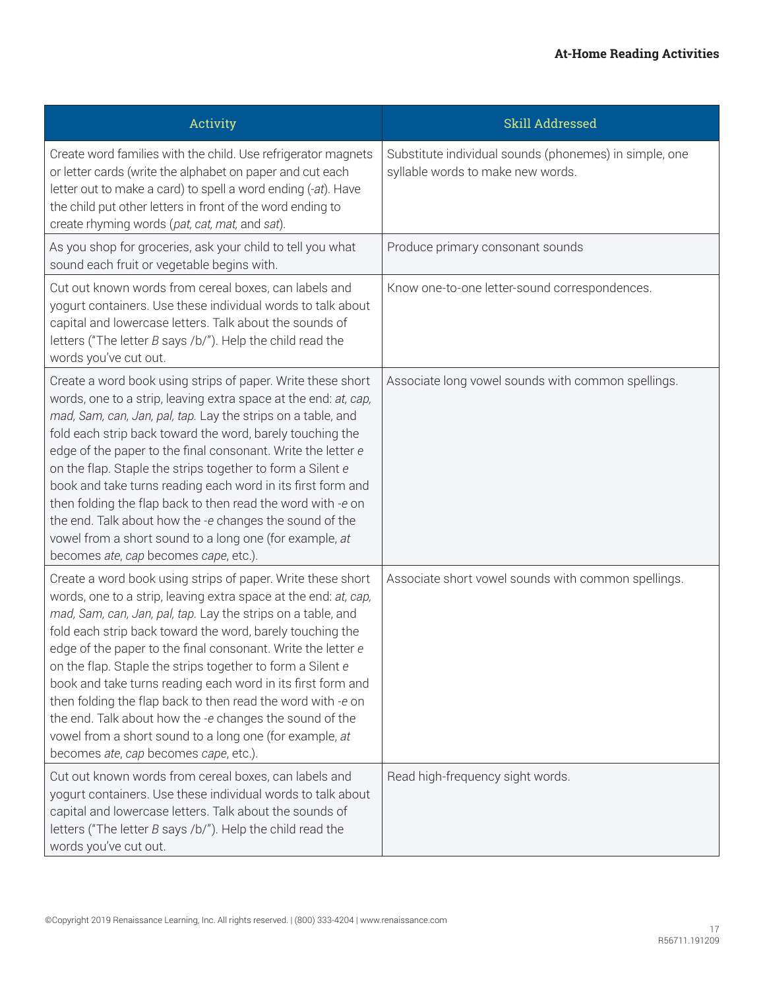| Activity                                                                                                                                                                                                                                                                                                                                                                                                                                                                                                                                                                                                                                                                               | Skill Addressed                                                                             |
|----------------------------------------------------------------------------------------------------------------------------------------------------------------------------------------------------------------------------------------------------------------------------------------------------------------------------------------------------------------------------------------------------------------------------------------------------------------------------------------------------------------------------------------------------------------------------------------------------------------------------------------------------------------------------------------|---------------------------------------------------------------------------------------------|
| Create word families with the child. Use refrigerator magnets<br>or letter cards (write the alphabet on paper and cut each<br>letter out to make a card) to spell a word ending (-at). Have<br>the child put other letters in front of the word ending to<br>create rhyming words (pat, cat, mat, and sat).                                                                                                                                                                                                                                                                                                                                                                            | Substitute individual sounds (phonemes) in simple, one<br>syllable words to make new words. |
| As you shop for groceries, ask your child to tell you what<br>sound each fruit or vegetable begins with.                                                                                                                                                                                                                                                                                                                                                                                                                                                                                                                                                                               | Produce primary consonant sounds                                                            |
| Cut out known words from cereal boxes, can labels and<br>yogurt containers. Use these individual words to talk about<br>capital and lowercase letters. Talk about the sounds of<br>letters ("The letter B says /b/"). Help the child read the<br>words you've cut out.                                                                                                                                                                                                                                                                                                                                                                                                                 | Know one-to-one letter-sound correspondences.                                               |
| Create a word book using strips of paper. Write these short<br>words, one to a strip, leaving extra space at the end: at, cap,<br>mad, Sam, can, Jan, pal, tap. Lay the strips on a table, and<br>fold each strip back toward the word, barely touching the<br>edge of the paper to the final consonant. Write the letter e<br>on the flap. Staple the strips together to form a Silent e<br>book and take turns reading each word in its first form and<br>then folding the flap back to then read the word with -e on<br>the end. Talk about how the -e changes the sound of the<br>vowel from a short sound to a long one (for example, at<br>becomes ate, cap becomes cape, etc.). | Associate long vowel sounds with common spellings.                                          |
| Create a word book using strips of paper. Write these short<br>words, one to a strip, leaving extra space at the end: at, cap,<br>mad, Sam, can, Jan, pal, tap. Lay the strips on a table, and<br>fold each strip back toward the word, barely touching the<br>edge of the paper to the final consonant. Write the letter e<br>on the flap. Staple the strips together to form a Silent e<br>book and take turns reading each word in its first form and<br>then folding the flap back to then read the word with -e on<br>the end. Talk about how the -e changes the sound of the<br>vowel from a short sound to a long one (for example, at<br>becomes ate, cap becomes cape, etc.). | Associate short vowel sounds with common spellings.                                         |
| Cut out known words from cereal boxes, can labels and<br>yogurt containers. Use these individual words to talk about<br>capital and lowercase letters. Talk about the sounds of<br>letters ("The letter $B$ says /b/"). Help the child read the<br>words you've cut out.                                                                                                                                                                                                                                                                                                                                                                                                               | Read high-frequency sight words.                                                            |